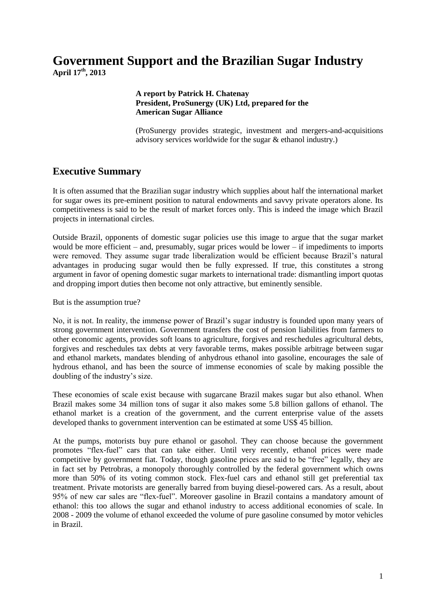# **Government Support and the Brazilian Sugar Industry April 17 th, 2013**

#### **A report by Patrick H. Chatenay President, ProSunergy (UK) Ltd, prepared for the American Sugar Alliance**

(ProSunergy provides strategic, investment and mergers-and-acquisitions advisory services worldwide for the sugar & ethanol industry.)

### **Executive Summary**

It is often assumed that the Brazilian sugar industry which supplies about half the international market for sugar owes its pre-eminent position to natural endowments and savvy private operators alone. Its competitiveness is said to be the result of market forces only. This is indeed the image which Brazil projects in international circles.

Outside Brazil, opponents of domestic sugar policies use this image to argue that the sugar market would be more efficient – and, presumably, sugar prices would be lower – if impediments to imports were removed. They assume sugar trade liberalization would be efficient because Brazil's natural advantages in producing sugar would then be fully expressed. If true, this constitutes a strong argument in favor of opening domestic sugar markets to international trade: dismantling import quotas and dropping import duties then become not only attractive, but eminently sensible.

But is the assumption true?

No, it is not. In reality, the immense power of Brazil's sugar industry is founded upon many years of strong government intervention. Government transfers the cost of pension liabilities from farmers to other economic agents, provides soft loans to agriculture, forgives and reschedules agricultural debts, forgives and reschedules tax debts at very favorable terms, makes possible arbitrage between sugar and ethanol markets, mandates blending of anhydrous ethanol into gasoline, encourages the sale of hydrous ethanol, and has been the source of immense economies of scale by making possible the doubling of the industry's size.

These economies of scale exist because with sugarcane Brazil makes sugar but also ethanol. When Brazil makes some 34 million tons of sugar it also makes some 5.8 billion gallons of ethanol. The ethanol market is a creation of the government, and the current enterprise value of the assets developed thanks to government intervention can be estimated at some US\$ 45 billion.

At the pumps, motorists buy pure ethanol or gasohol. They can choose because the government promotes "flex-fuel" cars that can take either. Until very recently, ethanol prices were made competitive by government fiat. Today, though gasoline prices are said to be "free" legally, they are in fact set by Petrobras, a monopoly thoroughly controlled by the federal government which owns more than 50% of its voting common stock. Flex-fuel cars and ethanol still get preferential tax treatment. Private motorists are generally barred from buying diesel-powered cars. As a result, about 95% of new car sales are "flex-fuel". Moreover gasoline in Brazil contains a mandatory amount of ethanol: this too allows the sugar and ethanol industry to access additional economies of scale. In 2008 - 2009 the volume of ethanol exceeded the volume of pure gasoline consumed by motor vehicles in Brazil.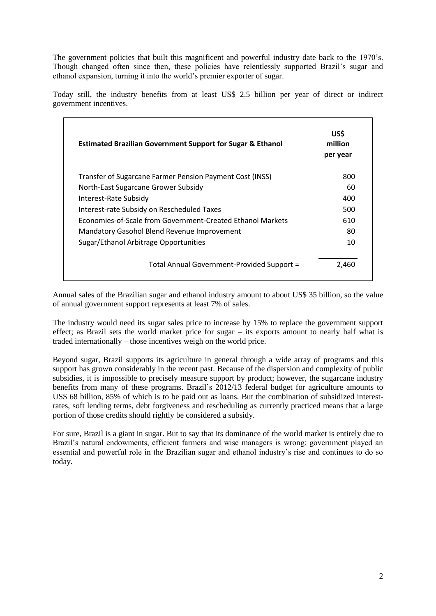The government policies that built this magnificent and powerful industry date back to the 1970's. Though changed often since then, these policies have relentlessly supported Brazil's sugar and ethanol expansion, turning it into the world's premier exporter of sugar.

Today still, the industry benefits from at least US\$ 2.5 billion per year of direct or indirect government incentives.

| <b>Estimated Brazilian Government Support for Sugar &amp; Ethanol</b> | US\$<br>million<br>per year |
|-----------------------------------------------------------------------|-----------------------------|
| Transfer of Sugarcane Farmer Pension Payment Cost (INSS)              | 800                         |
| North-East Sugarcane Grower Subsidy                                   | 60                          |
| Interest-Rate Subsidy                                                 | 400                         |
| Interest-rate Subsidy on Rescheduled Taxes                            | 500                         |
| Economies-of-Scale from Government-Created Ethanol Markets            | 610                         |
| Mandatory Gasohol Blend Revenue Improvement                           | 80                          |
| Sugar/Ethanol Arbitrage Opportunities                                 | 10                          |
| Total Annual Government-Provided Support =                            | 2,460                       |

Annual sales of the Brazilian sugar and ethanol industry amount to about US\$ 35 billion, so the value of annual government support represents at least 7% of sales.

The industry would need its sugar sales price to increase by 15% to replace the government support effect; as Brazil sets the world market price for sugar – its exports amount to nearly half what is traded internationally – those incentives weigh on the world price.

Beyond sugar, Brazil supports its agriculture in general through a wide array of programs and this support has grown considerably in the recent past. Because of the dispersion and complexity of public subsidies, it is impossible to precisely measure support by product; however, the sugarcane industry benefits from many of these programs. Brazil's 2012/13 federal budget for agriculture amounts to US\$ 68 billion, 85% of which is to be paid out as loans. But the combination of subsidized interestrates, soft lending terms, debt forgiveness and rescheduling as currently practiced means that a large portion of those credits should rightly be considered a subsidy.

For sure, Brazil is a giant in sugar. But to say that its dominance of the world market is entirely due to Brazil's natural endowments, efficient farmers and wise managers is wrong: government played an essential and powerful role in the Brazilian sugar and ethanol industry's rise and continues to do so today.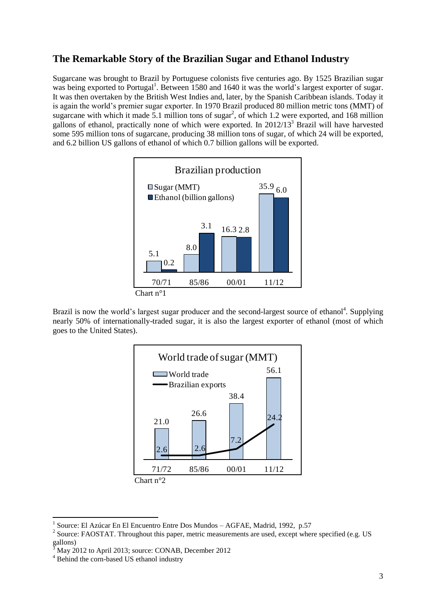## **The Remarkable Story of the Brazilian Sugar and Ethanol Industry**

Sugarcane was brought to Brazil by Portuguese colonists five centuries ago. By 1525 Brazilian sugar was being exported to Portugal<sup>1</sup>. Between 1580 and 1640 it was the world's largest exporter of sugar. It was then overtaken by the British West Indies and, later, by the Spanish Caribbean islands. Today it is again the world's premier sugar exporter. In 1970 Brazil produced 80 million metric tons (MMT) of sugarcane with which it made 5.1 million tons of sugar<sup>2</sup>, of which 1.2 were exported, and 168 million gallons of ethanol, practically none of which were exported. In 2012/13<sup>3</sup> Brazil will have harvested some 595 million tons of sugarcane, producing 38 million tons of sugar, of which 24 will be exported, and 6.2 billion US gallons of ethanol of which 0.7 billion gallons will be exported.



Brazil is now the world's largest sugar producer and the second-largest source of ethanol<sup>4</sup>. Supplying nearly 50% of internationally-traded sugar, it is also the largest exporter of ethanol (most of which goes to the United States).



<sup>1</sup> Source: El Azúcar En El Encuentro Entre Dos Mundos – AGFAE, Madrid, 1992, p.57

<sup>&</sup>lt;sup>2</sup> Source: FAOSTAT. Throughout this paper, metric measurements are used, except where specified (e.g. US gallons)

<sup>3</sup> May 2012 to April 2013; source: CONAB, December 2012

<sup>&</sup>lt;sup>4</sup> Behind the corn-based US ethanol industry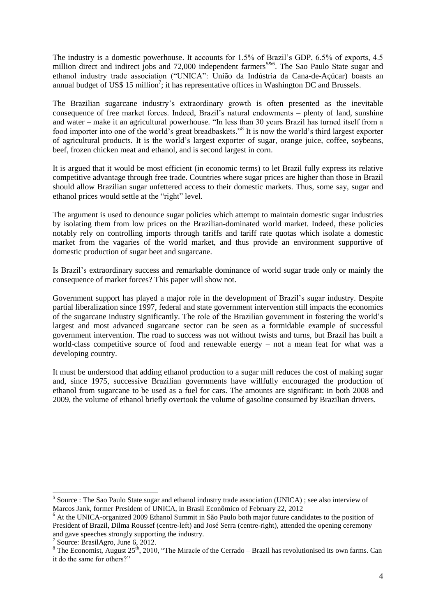The industry is a domestic powerhouse. It accounts for 1.5% of Brazil's GDP, 6.5% of exports, 4.5 million direct and indirect jobs and 72,000 independent farmers<sup>5&6</sup>. The Sao Paulo State sugar and ethanol industry trade association ("UNICA": União da Indústria da Cana-de-Açúcar) boasts an annual budget of US\$ 15 million<sup>7</sup>; it has representative offices in Washington DC and Brussels.

The Brazilian sugarcane industry's extraordinary growth is often presented as the inevitable consequence of free market forces. Indeed, Brazil's natural endowments – plenty of land, sunshine and water – make it an agricultural powerhouse. "In less than 30 years Brazil has turned itself from a food importer into one of the world's great breadbaskets."<sup>8</sup> It is now the world's third largest exporter of agricultural products. It is the world's largest exporter of sugar, orange juice, coffee, soybeans, beef, frozen chicken meat and ethanol, and is second largest in corn.

It is argued that it would be most efficient (in economic terms) to let Brazil fully express its relative competitive advantage through free trade. Countries where sugar prices are higher than those in Brazil should allow Brazilian sugar unfettered access to their domestic markets. Thus, some say, sugar and ethanol prices would settle at the "right" level.

The argument is used to denounce sugar policies which attempt to maintain domestic sugar industries by isolating them from low prices on the Brazilian-dominated world market. Indeed, these policies notably rely on controlling imports through tariffs and tariff rate quotas which isolate a domestic market from the vagaries of the world market, and thus provide an environment supportive of domestic production of sugar beet and sugarcane.

Is Brazil's extraordinary success and remarkable dominance of world sugar trade only or mainly the consequence of market forces? This paper will show not.

Government support has played a major role in the development of Brazil's sugar industry. Despite partial liberalization since 1997, federal and state government intervention still impacts the economics of the sugarcane industry significantly. The role of the Brazilian government in fostering the world's largest and most advanced sugarcane sector can be seen as a formidable example of successful government intervention. The road to success was not without twists and turns, but Brazil has built a world-class competitive source of food and renewable energy – not a mean feat for what was a developing country.

It must be understood that adding ethanol production to a sugar mill reduces the cost of making sugar and, since 1975, successive Brazilian governments have willfully encouraged the production of ethanol from sugarcane to be used as a fuel for cars. The amounts are significant: in both 2008 and 2009, the volume of ethanol briefly overtook the volume of gasoline consumed by Brazilian drivers.

<sup>&</sup>lt;sup>5</sup> Source : The Sao Paulo State sugar and ethanol industry trade association (UNICA) ; see also interview of Marcos Jank, former President of UNICA, in Brasil Econômico of February 22, 2012

<sup>&</sup>lt;sup>6</sup> At the UNICA-organized 2009 Ethanol Summit in São Paulo both major future candidates to the position of President of Brazil, Dilma Roussef (centre-left) and José Serra (centre-right), attended the opening ceremony and gave speeches strongly supporting the industry.

<sup>7</sup> Source: BrasilAgro, June 6, 2012.

<sup>&</sup>lt;sup>8</sup> The Economist, August 25<sup>th</sup>, 2010, "The Miracle of the Cerrado – Brazil has revolutionised its own farms. Can it do the same for others?"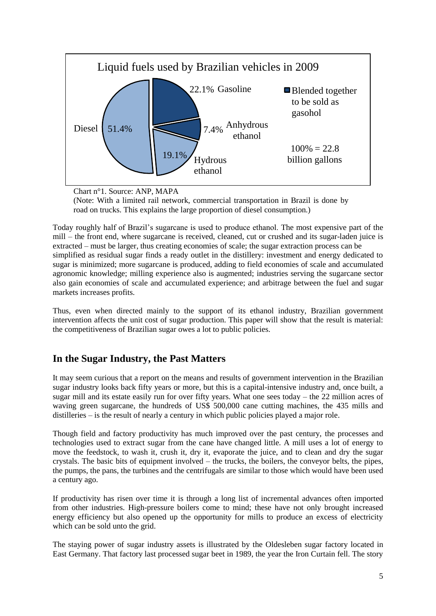

Chart n°1. Source: ANP, MAPA

(Note: With a limited rail network, commercial transportation in Brazil is done by road on trucks. This explains the large proportion of diesel consumption.)

Today roughly half of Brazil's sugarcane is used to produce ethanol. The most expensive part of the mill – the front end, where sugarcane is received, cleaned, cut or crushed and its sugar-laden juice is extracted – must be larger, thus creating economies of scale; the sugar extraction process can be simplified as residual sugar finds a ready outlet in the distillery: investment and energy dedicated to sugar is minimized; more sugarcane is produced, adding to field economies of scale and accumulated agronomic knowledge; milling experience also is augmented; industries serving the sugarcane sector also gain economies of scale and accumulated experience; and arbitrage between the fuel and sugar markets increases profits.

Thus, even when directed mainly to the support of its ethanol industry, Brazilian government intervention affects the unit cost of sugar production. This paper will show that the result is material: the competitiveness of Brazilian sugar owes a lot to public policies.

### **In the Sugar Industry, the Past Matters**

It may seem curious that a report on the means and results of government intervention in the Brazilian sugar industry looks back fifty years or more, but this is a capital-intensive industry and, once built, a sugar mill and its estate easily run for over fifty years. What one sees today – the 22 million acres of waving green sugarcane, the hundreds of US\$ 500,000 cane cutting machines, the 435 mills and distilleries – is the result of nearly a century in which public policies played a major role.

Though field and factory productivity has much improved over the past century, the processes and technologies used to extract sugar from the cane have changed little. A mill uses a lot of energy to move the feedstock, to wash it, crush it, dry it, evaporate the juice, and to clean and dry the sugar crystals. The basic bits of equipment involved – the trucks, the boilers, the conveyor belts, the pipes, the pumps, the pans, the turbines and the centrifugals are similar to those which would have been used a century ago.

If productivity has risen over time it is through a long list of incremental advances often imported from other industries. High-pressure boilers come to mind; these have not only brought increased energy efficiency but also opened up the opportunity for mills to produce an excess of electricity which can be sold unto the grid.

The staying power of sugar industry assets is illustrated by the Oldesleben sugar factory located in East Germany. That factory last processed sugar beet in 1989, the year the Iron Curtain fell. The story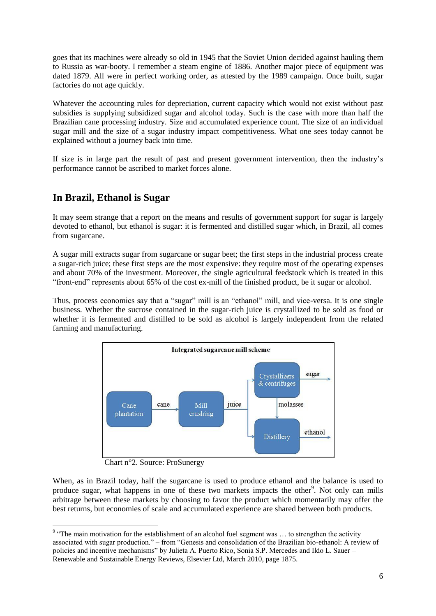goes that its machines were already so old in 1945 that the Soviet Union decided against hauling them to Russia as war-booty. I remember a steam engine of 1886. Another major piece of equipment was dated 1879. All were in perfect working order, as attested by the 1989 campaign. Once built, sugar factories do not age quickly.

Whatever the accounting rules for depreciation, current capacity which would not exist without past subsidies is supplying subsidized sugar and alcohol today. Such is the case with more than half the Brazilian cane processing industry. Size and accumulated experience count. The size of an individual sugar mill and the size of a sugar industry impact competitiveness. What one sees today cannot be explained without a journey back into time.

If size is in large part the result of past and present government intervention, then the industry's performance cannot be ascribed to market forces alone.

## **In Brazil, Ethanol is Sugar**

It may seem strange that a report on the means and results of government support for sugar is largely devoted to ethanol, but ethanol is sugar: it is fermented and distilled sugar which, in Brazil, all comes from sugarcane.

A sugar mill extracts sugar from sugarcane or sugar beet; the first steps in the industrial process create a sugar-rich juice; these first steps are the most expensive: they require most of the operating expenses and about 70% of the investment. Moreover, the single agricultural feedstock which is treated in this "front-end" represents about 65% of the cost ex-mill of the finished product, be it sugar or alcohol.

Thus, process economics say that a "sugar" mill is an "ethanol" mill, and vice-versa. It is one single business. Whether the sucrose contained in the sugar-rich juice is crystallized to be sold as food or whether it is fermented and distilled to be sold as alcohol is largely independent from the related farming and manufacturing.



Chart n°2. Source: ProSunergy

When, as in Brazil today, half the sugarcane is used to produce ethanol and the balance is used to produce sugar, what happens in one of these two markets impacts the other<sup>9</sup>. Not only can mills arbitrage between these markets by choosing to favor the product which momentarily may offer the best returns, but economies of scale and accumulated experience are shared between both products.

The main motivation for the establishment of an alcohol fuel segment was ... to strengthen the activity associated with sugar production." – from "Genesis and consolidation of the Brazilian bio-ethanol: A review of policies and incentive mechanisms" by Julieta A. Puerto Rico, Sonia S.P. Mercedes and Ildo L. Sauer – Renewable and Sustainable Energy Reviews, Elsevier Ltd, March 2010, page 1875.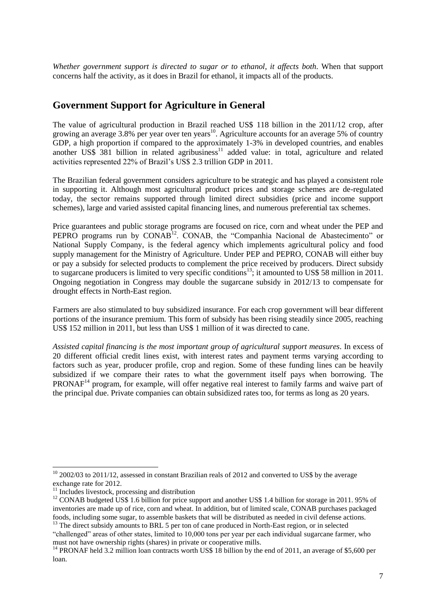*Whether government support is directed to sugar or to ethanol, it affects both*. When that support concerns half the activity, as it does in Brazil for ethanol, it impacts all of the products.

## **Government Support for Agriculture in General**

The value of agricultural production in Brazil reached US\$ 118 billion in the 2011/12 crop, after growing an average 3.8% per year over ten years<sup>10</sup>. Agriculture accounts for an average 5% of country GDP, a high proportion if compared to the approximately 1-3% in developed countries, and enables another  $\overrightarrow{USS}$  381 billion in related agribusiness<sup>11</sup> added value: in total, agriculture and related activities represented 22% of Brazil's US\$ 2.3 trillion GDP in 2011.

The Brazilian federal government considers agriculture to be strategic and has played a consistent role in supporting it. Although most agricultural product prices and storage schemes are de-regulated today, the sector remains supported through limited direct subsidies (price and income support schemes), large and varied assisted capital financing lines, and numerous preferential tax schemes.

Price guarantees and public storage programs are focused on rice, corn and wheat under the PEP and PEPRO programs run by CONAB<sup>12</sup>. CONAB, the "Companhia Nacional de Abastecimento" or National Supply Company, is the federal agency which implements agricultural policy and food supply management for the Ministry of Agriculture. Under PEP and PEPRO, CONAB will either buy or pay a subsidy for selected products to complement the price received by producers. Direct subsidy to sugarcane producers is limited to very specific conditions<sup>13</sup>; it amounted to US\$ 58 million in 2011. Ongoing negotiation in Congress may double the sugarcane subsidy in 2012/13 to compensate for drought effects in North-East region.

Farmers are also stimulated to buy subsidized insurance. For each crop government will bear different portions of the insurance premium. This form of subsidy has been rising steadily since 2005, reaching US\$ 152 million in 2011, but less than US\$ 1 million of it was directed to cane.

*Assisted capital financing is the most important group of agricultural support measures*. In excess of 20 different official credit lines exist, with interest rates and payment terms varying according to factors such as year, producer profile, crop and region. Some of these funding lines can be heavily subsidized if we compare their rates to what the government itself pays when borrowing. The PRONAF<sup>14</sup> program, for example, will offer negative real interest to family farms and waive part of the principal due. Private companies can obtain subsidized rates too, for terms as long as 20 years.

 $10$  2002/03 to 2011/12, assessed in constant Brazilian reals of 2012 and converted to US\$ by the average exchange rate for 2012.

<sup>&</sup>lt;sup>11</sup> Includes livestock, processing and distribution

<sup>&</sup>lt;sup>12</sup> CONAB budgeted US\$ 1.6 billion for price support and another US\$ 1.4 billion for storage in 2011. 95% of inventories are made up of rice, corn and wheat. In addition, but of limited scale, CONAB purchases packaged foods, including some sugar, to assemble baskets that will be distributed as needed in civil defense actions.

<sup>&</sup>lt;sup>13</sup> The direct subsidy amounts to BRL 5 per ton of cane produced in North-East region, or in selected "challenged" areas of other states, limited to 10,000 tons per year per each individual sugarcane farmer, who must not have ownership rights (shares) in private or cooperative mills.

<sup>&</sup>lt;sup>14</sup> PRONAF held 3.2 million loan contracts worth US\$ 18 billion by the end of 2011, an average of \$5,600 per loan.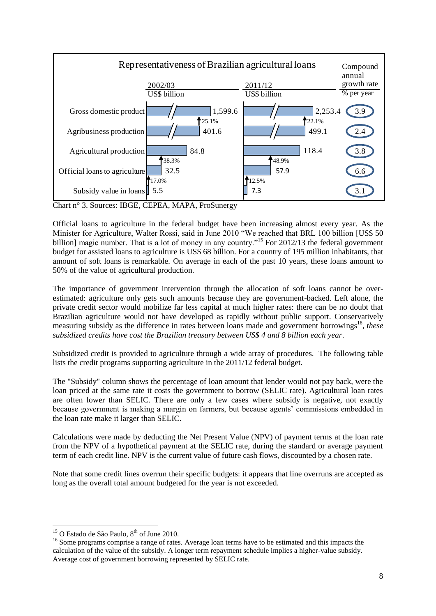

Chart n° 3. Sources: IBGE, CEPEA, MAPA, ProSunergy

Official loans to agriculture in the federal budget have been increasing almost every year. As the Minister for Agriculture, Walter Rossi, said in June 2010 "We reached that BRL 100 billion [US\$ 50 billion] magic number. That is a lot of money in any country."<sup>15</sup> For 2012/13 the federal government budget for assisted loans to agriculture is US\$ 68 billion. For a country of 195 million inhabitants, that amount of soft loans is remarkable. On average in each of the past 10 years, these loans amount to 50% of the value of agricultural production.

The importance of government intervention through the allocation of soft loans cannot be overestimated: agriculture only gets such amounts because they are government-backed. Left alone, the private credit sector would mobilize far less capital at much higher rates: there can be no doubt that Brazilian agriculture would not have developed as rapidly without public support. Conservatively measuring subsidy as the difference in rates between loans made and government borrowings<sup>16</sup>, these *subsidized credits have cost the Brazilian treasury between US\$ 4 and 8 billion each year*.

Subsidized credit is provided to agriculture through a wide array of procedures. The following table lists the credit programs supporting agriculture in the 2011/12 federal budget.

The "Subsidy" column shows the percentage of loan amount that lender would not pay back, were the loan priced at the same rate it costs the government to borrow (SELIC rate). Agricultural loan rates are often lower than SELIC. There are only a few cases where subsidy is negative, not exactly because government is making a margin on farmers, but because agents' commissions embedded in the loan rate make it larger than SELIC.

Calculations were made by deducting the Net Present Value (NPV) of payment terms at the loan rate from the NPV of a hypothetical payment at the SELIC rate, during the standard or average payment term of each credit line. NPV is the current value of future cash flows, discounted by a chosen rate.

Note that some credit lines overrun their specific budgets: it appears that line overruns are accepted as long as the overall total amount budgeted for the year is not exceeded.

<sup>&</sup>lt;sup>15</sup> O Estado de São Paulo,  $8<sup>th</sup>$  of June 2010.

<sup>&</sup>lt;sup>16</sup> Some programs comprise a range of rates. Average loan terms have to be estimated and this impacts the calculation of the value of the subsidy. A longer term repayment schedule implies a higher-value subsidy. Average cost of government borrowing represented by SELIC rate.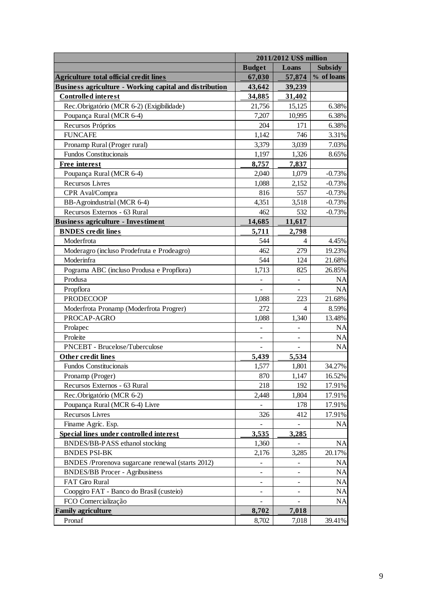|                                                                | 2011/2012 US\$ million |        |                |
|----------------------------------------------------------------|------------------------|--------|----------------|
|                                                                | <b>Budget</b>          | Loans  | <b>Subsidy</b> |
| <b>Agriculture total official credit lines</b>                 | 67,030                 | 57,874 | % of loans     |
| <b>Business agriculture - Working capital and distribution</b> | 43,642                 | 39,239 |                |
| <b>Controlled</b> interest                                     | 34,885                 | 31,402 |                |
| Rec.Obrigatório (MCR 6-2) (Exigibilidade)                      | 21,756                 | 15,125 | 6.38%          |
| Poupança Rural (MCR 6-4)                                       | 7,207                  | 10,995 | 6.38%          |
| Recursos Próprios                                              | 204                    | 171    | 6.38%          |
| <b>FUNCAFE</b>                                                 | 1,142                  | 746    | 3.31%          |
| Pronamp Rural (Proger rural)                                   | 3,379                  | 3,039  | 7.03%          |
| Fundos Constitucionais                                         | 1,197                  | 1,326  | 8.65%          |
| Free interest                                                  | 8,757                  | 7,837  |                |
| Poupança Rural (MCR 6-4)                                       | 2,040                  | 1,079  | $-0.73%$       |
| <b>Recursos Livres</b>                                         | 1,088                  | 2,152  | $-0.73%$       |
| CPR Aval/Compra                                                | 816                    | 557    | $-0.73%$       |
| BB-Agroindustrial (MCR 6-4)                                    | 4,351                  | 3,518  | $-0.73%$       |
| Recursos Externos - 63 Rural                                   | 462                    | 532    | $-0.73%$       |
| <b>Business agriculture - Investiment</b>                      | 14,685                 | 11,617 |                |
| <b>BNDES</b> credit lines                                      | 5,711                  | 2,798  |                |
| Moderfrota                                                     | 544                    | 4      | 4.45%          |
| Moderagro (incluso Prodefruta e Prodeagro)                     | 462                    | 279    | 19.23%         |
| Moderinfra                                                     | 544                    | 124    | 21.68%         |
| Pograma ABC (incluso Produsa e Propflora)                      | 1,713                  | 825    | 26.85%         |
| Produsa                                                        |                        |        | <b>NA</b>      |
| Propflora                                                      |                        |        | <b>NA</b>      |
| <b>PRODECOOP</b>                                               | 1,088                  | 223    | 21.68%         |
| Moderfrota Pronamp (Moderfrota Progrer)                        | 272                    | 4      | 8.59%          |
| PROCAP-AGRO                                                    | 1,088                  | 1,340  | 13.48%         |
| Prolapec                                                       |                        |        | <b>NA</b>      |
| Proleite                                                       |                        |        | <b>NA</b>      |
| PNCEBT - Brucelose/Tuberculose                                 |                        |        | NA             |
| <b>Other credit lines</b>                                      | 5,439                  | 5,534  |                |
| Fundos Constitucionais                                         | 1,577                  | 1,801  | 34.27%         |
| Pronamp (Proger)                                               | 870                    | 1,147  | 16.52%         |
| Recursos Externos - 63 Rural                                   | 218                    | 192    | 17.91%         |
| Rec.Obrigatório (MCR 6-2)                                      | 2,448                  | 1,804  | 17.91%         |
| Poupança Rural (MCR 6-4) Livre                                 |                        | 178    | 17.91%         |
| Recursos Livres                                                | 326                    | 412    | 17.91%         |
| Finame Agríc. Esp.                                             |                        |        | <b>NA</b>      |
| Special lines under controlled interest                        | 3,535                  | 3,285  |                |
| BNDES/BB-PASS ethanol stocking                                 | 1,360                  |        | NA             |
| <b>BNDES PSI-BK</b>                                            | 2,176                  | 3,285  | 20.17%         |
| BNDES /Prorenova sugarcane renewal (starts 2012)               | -                      | ÷      | <b>NA</b>      |
| <b>BNDES/BB Procer - Agribusiness</b>                          |                        |        | <b>NA</b>      |
| FAT Giro Rural                                                 | -                      |        | NA             |
| Coopgiro FAT - Banco do Brasil (custeio)                       |                        |        | <b>NA</b>      |
| FCO Comercialização                                            |                        |        | NA             |
| <b>Family agriculture</b>                                      | 8,702                  | 7,018  |                |
| Pronaf                                                         | 8,702                  | 7,018  | 39.41%         |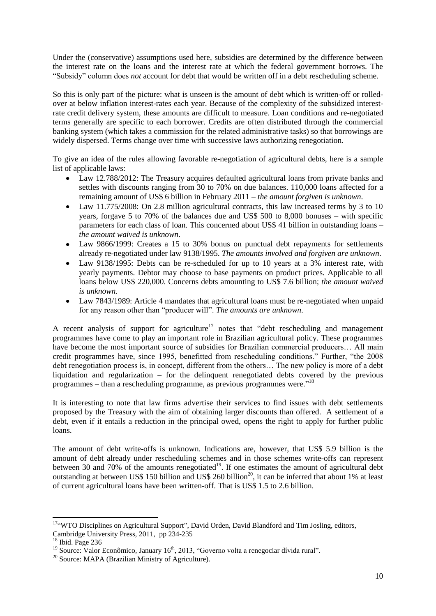Under the (conservative) assumptions used here, subsidies are determined by the difference between the interest rate on the loans and the interest rate at which the federal government borrows. The "Subsidy" column does *not* account for debt that would be written off in a debt rescheduling scheme.

So this is only part of the picture: what is unseen is the amount of debt which is written-off or rolledover at below inflation interest-rates each year. Because of the complexity of the subsidized interestrate credit delivery system, these amounts are difficult to measure. Loan conditions and re-negotiated terms generally are specific to each borrower. Credits are often distributed through the commercial banking system (which takes a commission for the related administrative tasks) so that borrowings are widely dispersed. Terms change over time with successive laws authorizing renegotiation.

To give an idea of the rules allowing favorable re-negotiation of agricultural debts, here is a sample list of applicable laws:

- Law 12.788/2012: The Treasury acquires defaulted agricultural loans from private banks and settles with discounts ranging from 30 to 70% on due balances. 110,000 loans affected for a remaining amount of US\$ 6 billion in February 2011 – *the amount forgiven is unknown*.
- Law 11.775/2008: On 2.8 million agricultural contracts, this law increased terms by 3 to 10  $\bullet$ years, forgave 5 to 70% of the balances due and US\$ 500 to 8,000 bonuses – with specific parameters for each class of loan. This concerned about US\$ 41 billion in outstanding loans – *the amount waived is unknown*.
- Law 9866/1999: Creates a 15 to 30% bonus on punctual debt repayments for settlements already re-negotiated under law 9138/1995. *The amounts involved and forgiven are unknown*.
- Law 9138/1995: Debts can be re-scheduled for up to 10 years at a 3% interest rate, with yearly payments. Debtor may choose to base payments on product prices. Applicable to all loans below US\$ 220,000. Concerns debts amounting to US\$ 7.6 billion; *the amount waived is unknown*.
- Law 7843/1989: Article 4 mandates that agricultural loans must be re-negotiated when unpaid  $\bullet$ for any reason other than "producer will". *The amounts are unknown*.

A recent analysis of support for agriculture<sup>17</sup> notes that "debt rescheduling and management programmes have come to play an important role in Brazilian agricultural policy. These programmes have become the most important source of subsidies for Brazilian commercial producers... All main credit programmes have, since 1995, benefitted from rescheduling conditions." Further, "the 2008 debt renegotiation process is, in concept, different from the others… The new policy is more of a debt liquidation and regularization – for the delinquent renegotiated debts covered by the previous programmes – than a rescheduling programme, as previous programmes were.<sup> $18$ </sup>

It is interesting to note that law firms advertise their services to find issues with debt settlements proposed by the Treasury with the aim of obtaining larger discounts than offered. A settlement of a debt, even if it entails a reduction in the principal owed, opens the right to apply for further public loans.

The amount of debt write-offs is unknown. Indications are, however, that US\$ 5.9 billion is the amount of debt already under rescheduling schemes and in those schemes write-offs can represent between 30 and 70% of the amounts renegotiated<sup>19</sup>. If one estimates the amount of agricultural debt outstanding at between US\$ 150 billion and US\$ 260 billion<sup>20</sup>, it can be inferred that about 1% at least of current agricultural loans have been written-off. That is US\$ 1.5 to 2.6 billion.

<sup>&</sup>lt;sup>17"</sup>WTO Disciplines on Agricultural Support", David Orden, David Blandford and Tim Josling, editors, Cambridge University Press, 2011, pp 234-235

 $18$  Ibid. Page 236

 $19$  Source: Valor Econômico, January 16<sup>th</sup>, 2013, "Governo volta a renegociar dívida rural".

 $20$  Source: MAPA (Brazilian Ministry of Agriculture).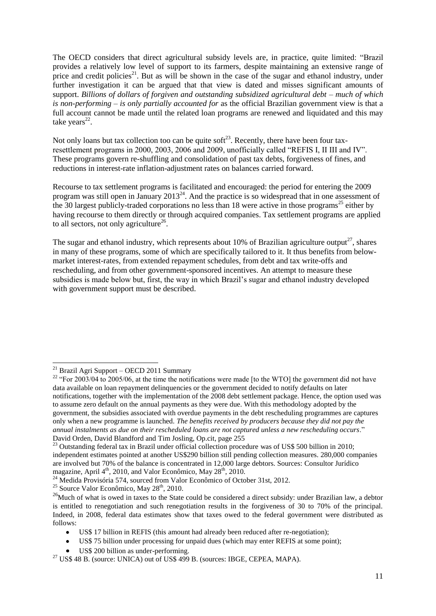The OECD considers that direct agricultural subsidy levels are, in practice, quite limited: "Brazil provides a relatively low level of support to its farmers, despite maintaining an extensive range of price and credit policies<sup>21</sup>. But as will be shown in the case of the sugar and ethanol industry, under further investigation it can be argued that that view is dated and misses significant amounts of support. *Billions of dollars of forgiven and outstanding subsidized agricultural debt – much of which is non-performing – is only partially accounted for* as the official Brazilian government view is that a full account cannot be made until the related loan programs are renewed and liquidated and this may take years $^{22}$ .

Not only loans but tax collection too can be quite soft<sup>23</sup>. Recently, there have been four taxresettlement programs in 2000, 2003, 2006 and 2009, unofficially called "REFIS I, II III and IV". These programs govern re-shuffling and consolidation of past tax debts, forgiveness of fines, and reductions in interest-rate inflation-adjustment rates on balances carried forward.

Recourse to tax settlement programs is facilitated and encouraged: the period for entering the 2009 program was still open in January  $2013^{24}$ . And the practice is so widespread that in one assessment of the 30 largest publicly-traded corporations no less than 18 were active in those programs<sup>25</sup> either by having recourse to them directly or through acquired companies. Tax settlement programs are applied to all sectors, not only agriculture<sup>26</sup>.

The sugar and ethanol industry, which represents about 10% of Brazilian agriculture output<sup>27</sup>, shares in many of these programs, some of which are specifically tailored to it. It thus benefits from belowmarket interest-rates, from extended repayment schedules, from debt and tax write-offs and rescheduling, and from other government-sponsored incentives. An attempt to measure these subsidies is made below but, first, the way in which Brazil's sugar and ethanol industry developed with government support must be described.

 $21$  Brazil Agri Support – OECD 2011 Summary

<sup>&</sup>lt;sup>22</sup> "For 2003/04 to 2005/06, at the time the notifications were made [to the WTO] the government did not have data available on loan repayment delinquencies or the government decided to notify defaults on later notifications, together with the implementation of the 2008 debt settlement package. Hence, the option used was to assume zero default on the annual payments as they were due. With this methodology adopted by the government, the subsidies associated with overdue payments in the debt rescheduling programmes are captures only when a new programme is launched. *The benefits received by producers because they did not pay the annual instalments as due on their rescheduled loans are not captured unless a new rescheduling occurs*." David Orden, David Blandford and Tim Josling, Op.cit, page 255

<sup>&</sup>lt;sup>23</sup> Outstanding federal tax in Brazil under official collection procedure was of US\$ 500 billion in 2010; independent estimates pointed at another US\$290 billion still pending collection measures. 280,000 companies are involved but 70% of the balance is concentrated in 12,000 large debtors. Sources: Consultor Jurídico magazine, April 4<sup>th</sup>, 2010, and Valor Econômico, May 28<sup>th</sup>, 2010.

 $^{24}$  Medida Provisória 574, sourced from Valor Econômico of October 31st, 2012.

 $25$  Source Valor Econômico, May  $28<sup>th</sup>$ , 2010.

<sup>&</sup>lt;sup>26</sup>Much of what is owed in taxes to the State could be considered a direct subsidy: under Brazilian law, a debtor is entitled to renegotiation and such renegotiation results in the forgiveness of 30 to 70% of the principal. Indeed, in 2008, federal data estimates show that taxes owed to the federal government were distributed as follows:

US\$ 17 billion in REFIS (this amount had already been reduced after re-negotiation);  $\bullet$ 

US\$ 75 billion under processing for unpaid dues (which may enter REFIS at some point);  $\bullet$ 

US\$ 200 billion as under-performing.

 $^{27}$  US\$ 48 B. (source: UNICA) out of US\$ 499 B. (sources: IBGE, CEPEA, MAPA).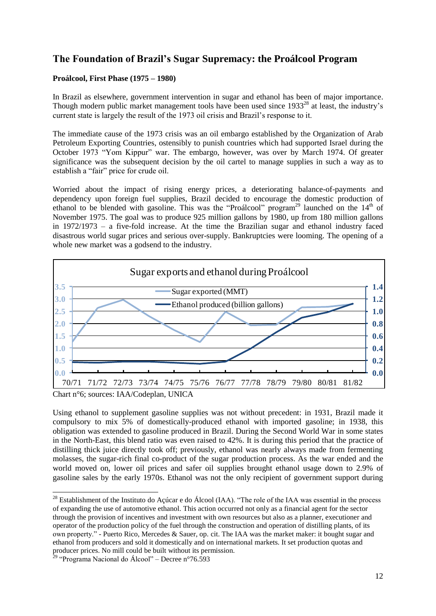# **The Foundation of Brazil's Sugar Supremacy: the Proálcool Program**

### **Proálcool, First Phase (1975 – 1980)**

In Brazil as elsewhere, government intervention in sugar and ethanol has been of major importance. Though modern public market management tools have been used since 1933<sup>28</sup> at least, the industry's current state is largely the result of the 1973 oil crisis and Brazil's response to it.

The immediate cause of the 1973 crisis was an oil embargo established by the Organization of Arab Petroleum Exporting Countries, ostensibly to punish countries which had supported Israel during the October 1973 "Yom Kippur" war. The embargo, however, was over by March 1974. Of greater significance was the subsequent decision by the oil cartel to manage supplies in such a way as to establish a "fair" price for crude oil.

Worried about the impact of rising energy prices, a deteriorating balance-of-payments and dependency upon foreign fuel supplies, Brazil decided to encourage the domestic production of ethanol to be blended with gasoline. This was the "Proálcool" program<sup>29</sup> launched on the 14<sup>th</sup> of November 1975. The goal was to produce 925 million gallons by 1980, up from 180 million gallons in 1972/1973 – a five-fold increase. At the time the Brazilian sugar and ethanol industry faced disastrous world sugar prices and serious over-supply. Bankruptcies were looming. The opening of a whole new market was a godsend to the industry.



Using ethanol to supplement gasoline supplies was not without precedent: in 1931, Brazil made it compulsory to mix 5% of domestically-produced ethanol with imported gasoline; in 1938, this obligation was extended to gasoline produced in Brazil. During the Second World War in some states in the North-East, this blend ratio was even raised to 42%. It is during this period that the practice of distilling thick juice directly took off; previously, ethanol was nearly always made from fermenting molasses, the sugar-rich final co-product of the sugar production process. As the war ended and the world moved on, lower oil prices and safer oil supplies brought ethanol usage down to 2.9% of gasoline sales by the early 1970s. Ethanol was not the only recipient of government support during

<sup>-</sup><sup>28</sup> Establishment of the Instituto do Açúcar e do Álcool (IAA). "The role of the IAA was essential in the process of expanding the use of automotive ethanol. This action occurred not only as a financial agent for the sector through the provision of incentives and investment with own resources but also as a planner, executioner and operator of the production policy of the fuel through the construction and operation of distilling plants, of its own property." - Puerto Rico, Mercedes & Sauer, op. cit. The IAA was the market maker: it bought sugar and ethanol from producers and sold it domestically and on international markets. It set production quotas and producer prices. No mill could be built without its permission.

<sup>&</sup>lt;sup>29</sup> "Programa Nacional do Álcool" – Decree n°76.593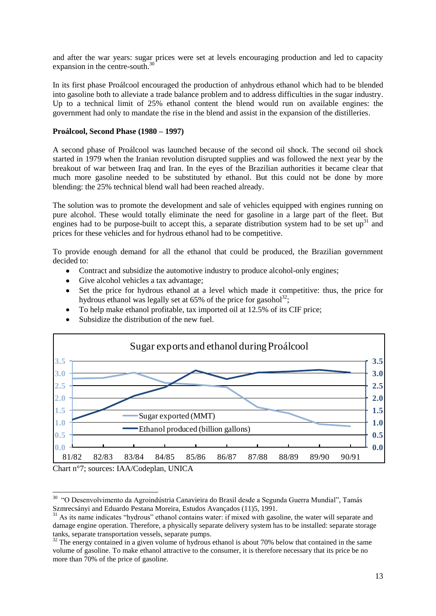and after the war years: sugar prices were set at levels encouraging production and led to capacity expansion in the centre-south.<sup>30</sup>

In its first phase Proálcool encouraged the production of anhydrous ethanol which had to be blended into gasoline both to alleviate a trade balance problem and to address difficulties in the sugar industry. Up to a technical limit of 25% ethanol content the blend would run on available engines: the government had only to mandate the rise in the blend and assist in the expansion of the distilleries.

#### **Proálcool, Second Phase (1980 – 1997)**

A second phase of Proálcool was launched because of the second oil shock. The second oil shock started in 1979 when the Iranian revolution disrupted supplies and was followed the next year by the breakout of war between Iraq and Iran. In the eyes of the Brazilian authorities it became clear that much more gasoline needed to be substituted by ethanol. But this could not be done by more blending: the 25% technical blend wall had been reached already.

The solution was to promote the development and sale of vehicles equipped with engines running on pure alcohol. These would totally eliminate the need for gasoline in a large part of the fleet. But engines had to be purpose-built to accept this, a separate distribution system had to be set up<sup>31</sup> and prices for these vehicles and for hydrous ethanol had to be competitive.

To provide enough demand for all the ethanol that could be produced, the Brazilian government decided to:

- $\bullet$ Contract and subsidize the automotive industry to produce alcohol-only engines;
- Give alcohol vehicles a tax advantage;  $\bullet$
- Set the price for hydrous ethanol at a level which made it competitive: thus, the price for  $\bullet$ hydrous ethanol was legally set at  $65\%$  of the price for gasohol<sup>32</sup>;
- To help make ethanol profitable, tax imported oil at 12.5% of its CIF price;  $\bullet$
- Subsidize the distribution of the new fuel.



Chart n°7; sources: IAA/Codeplan, UNICA

<sup>-</sup><sup>30</sup> "O Desenvolvimento da Agroindústria Canavieira do Brasil desde a Segunda Guerra Mundial", Tamás Szmrecsányi and Eduardo Pestana Moreira, Estudos Avançados (11)5, 1991.

<sup>&</sup>lt;sup>31</sup> As its name indicates "hydrous" ethanol contains water: if mixed with gasoline, the water will separate and damage engine operation. Therefore, a physically separate delivery system has to be installed: separate storage tanks, separate transportation vessels, separate pumps.

 $32$  The energy contained in a given volume of hydrous ethanol is about 70% below that contained in the same volume of gasoline. To make ethanol attractive to the consumer, it is therefore necessary that its price be no more than 70% of the price of gasoline.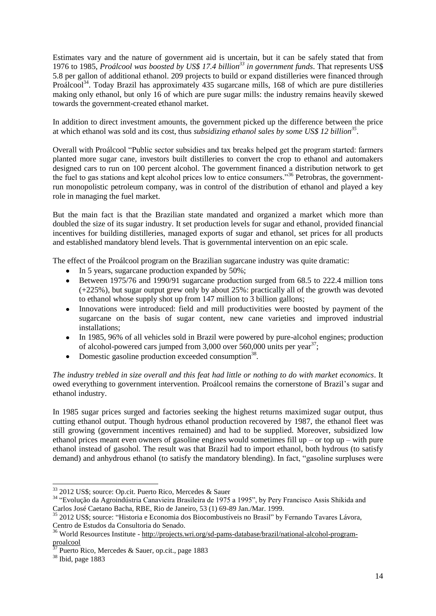Estimates vary and the nature of government aid is uncertain, but it can be safely stated that from 1976 to 1985, *Proálcool was boosted by US\$ 17.4 billion<sup>33</sup> in government funds*. That represents US\$ 5.8 per gallon of additional ethanol. 209 projects to build or expand distilleries were financed through Proálcool<sup>34</sup>. Today Brazil has approximately 435 sugarcane mills, 168 of which are pure distilleries making only ethanol, but only 16 of which are pure sugar mills: the industry remains heavily skewed towards the government-created ethanol market.

In addition to direct investment amounts, the government picked up the difference between the price at which ethanol was sold and its cost, thus *subsidizing ethanol sales by some US\$ 12 billion<sup>35</sup>* .

Overall with Proálcool "Public sector subsidies and tax breaks helped get the program started: farmers planted more sugar cane, investors built distilleries to convert the crop to ethanol and automakers designed cars to run on 100 percent alcohol. The government financed a distribution network to get the fuel to gas stations and kept alcohol prices low to entice consumers."<sup>36</sup> Petrobras, the governmentrun monopolistic petroleum company, was in control of the distribution of ethanol and played a key role in managing the fuel market.

But the main fact is that the Brazilian state mandated and organized a market which more than doubled the size of its sugar industry. It set production levels for sugar and ethanol, provided financial incentives for building distilleries, managed exports of sugar and ethanol, set prices for all products and established mandatory blend levels. That is governmental intervention on an epic scale.

The effect of the Proálcool program on the Brazilian sugarcane industry was quite dramatic:

- In 5 years, sugarcane production expanded by 50%;
- Between 1975/76 and 1990/91 sugarcane production surged from 68.5 to 222.4 million tons  $\bullet$ (+225%), but sugar output grew only by about 25%: practically all of the growth was devoted to ethanol whose supply shot up from 147 million to 3 billion gallons;
- Innovations were introduced: field and mill productivities were boosted by payment of the  $\bullet$ sugarcane on the basis of sugar content, new cane varieties and improved industrial installations;
- In 1985, 96% of all vehicles sold in Brazil were powered by pure-alcohol engines; production  $\bullet$ of alcohol-powered cars jumped from  $3,000$  over  $560,000$  units per year<sup>37</sup>;
- Domestic gasoline production exceeded consumption<sup>38</sup>.  $\bullet$

*The industry trebled in size overall and this feat had little or nothing to do with market economics*. It owed everything to government intervention. Proálcool remains the cornerstone of Brazil's sugar and ethanol industry.

In 1985 sugar prices surged and factories seeking the highest returns maximized sugar output, thus cutting ethanol output. Though hydrous ethanol production recovered by 1987, the ethanol fleet was still growing (government incentives remained) and had to be supplied. Moreover, subsidized low ethanol prices meant even owners of gasoline engines would sometimes fill up – or top up – with pure ethanol instead of gasohol. The result was that Brazil had to import ethanol, both hydrous (to satisfy demand) and anhydrous ethanol (to satisfy the mandatory blending). In fact, "gasoline surpluses were

<sup>33</sup> 2012 US\$; source: Op.cit. Puerto Rico, Mercedes & Sauer

<sup>34</sup> "Evolução da Agroindústria Canavieira Brasileira de 1975 a 1995", by Pery Francisco Assis Shikida and Carlos José Caetano Bacha, RBE, Rio de Janeiro, 53 (1) 69-89 Jan./Mar. 1999.

<sup>35</sup> 2012 US\$; source: "Historia e Economia dos Biocombustíveis no Brasil" by Fernando Tavares Lávora, Centro de Estudos da Consultoria do Senado.

<sup>36</sup> World Resources Institute - [http://projects.wri.org/sd-pams-database/brazil/national-alcohol-program](http://projects.wri.org/sd-pams-database/brazil/national-alcohol-program-proalcool)[proalcool](http://projects.wri.org/sd-pams-database/brazil/national-alcohol-program-proalcool)

<sup>37</sup> Puerto Rico, Mercedes & Sauer, op.cit., page 1883

<sup>38</sup> Ibid, page 1883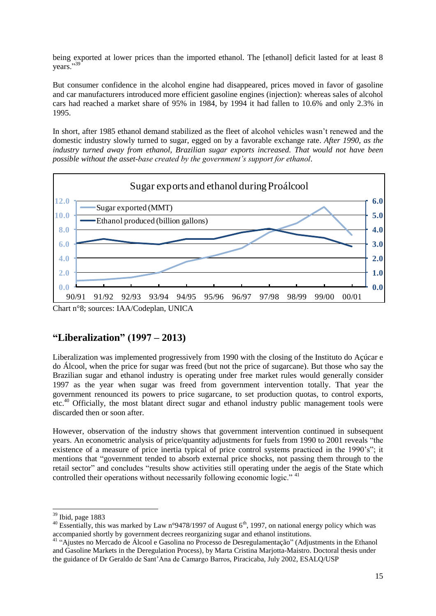being exported at lower prices than the imported ethanol. The [ethanol] deficit lasted for at least 8 years."39

But consumer confidence in the alcohol engine had disappeared, prices moved in favor of gasoline and car manufacturers introduced more efficient gasoline engines (injection): whereas sales of alcohol cars had reached a market share of 95% in 1984, by 1994 it had fallen to 10.6% and only 2.3% in 1995.

In short, after 1985 ethanol demand stabilized as the fleet of alcohol vehicles wasn't renewed and the domestic industry slowly turned to sugar, egged on by a favorable exchange rate. *After 1990, as the industry turned away from ethanol, Brazilian sugar exports increased. That would not have been possible without the asset-base created by the government's support for ethanol*.



### **"Liberalization" (1997 – 2013)**

Liberalization was implemented progressively from 1990 with the closing of the Instituto do Açúcar e do Álcool, when the price for sugar was freed (but not the price of sugarcane). But those who say the Brazilian sugar and ethanol industry is operating under free market rules would generally consider 1997 as the year when sugar was freed from government intervention totally. That year the government renounced its powers to price sugarcane, to set production quotas, to control exports, etc.<sup>40</sup> Officially, the most blatant direct sugar and ethanol industry public management tools were discarded then or soon after.

However, observation of the industry shows that government intervention continued in subsequent years. An econometric analysis of price/quantity adjustments for fuels from 1990 to 2001 reveals "the existence of a measure of price inertia typical of price control systems practiced in the 1990's"; it mentions that "government tended to absorb external price shocks, not passing them through to the retail sector" and concludes "results show activities still operating under the aegis of the State which controlled their operations without necessarily following economic logic."<sup>41</sup>

 $39$  Ibid, page 1883

<sup>&</sup>lt;sup>40</sup> Essentially, this was marked by Law n°9478/1997 of August 6<sup>th</sup>, 1997, on national energy policy which was accompanied shortly by government decrees reorganizing sugar and ethanol institutions.

<sup>41</sup> "Ajustes no Mercado de Álcool e Gasolina no Processo de Desregulamentação" (Adjustments in the Ethanol and Gasoline Markets in the Deregulation Process), by Marta Cristina Marjotta-Maistro. Doctoral thesis under the guidance of Dr Geraldo de Sant'Ana de Camargo Barros, Piracicaba, July 2002, ESALQ/USP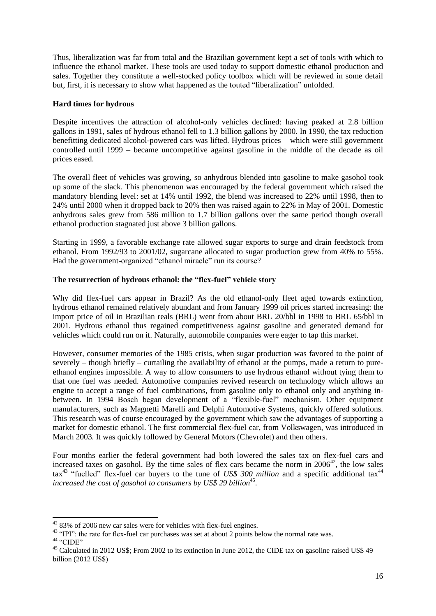Thus, liberalization was far from total and the Brazilian government kept a set of tools with which to influence the ethanol market. These tools are used today to support domestic ethanol production and sales. Together they constitute a well-stocked policy toolbox which will be reviewed in some detail but, first, it is necessary to show what happened as the touted "liberalization" unfolded.

### **Hard times for hydrous**

Despite incentives the attraction of alcohol-only vehicles declined: having peaked at 2.8 billion gallons in 1991, sales of hydrous ethanol fell to 1.3 billion gallons by 2000. In 1990, the tax reduction benefitting dedicated alcohol-powered cars was lifted. Hydrous prices – which were still government controlled until 1999 – became uncompetitive against gasoline in the middle of the decade as oil prices eased.

The overall fleet of vehicles was growing, so anhydrous blended into gasoline to make gasohol took up some of the slack. This phenomenon was encouraged by the federal government which raised the mandatory blending level: set at 14% until 1992, the blend was increased to 22% until 1998, then to 24% until 2000 when it dropped back to 20% then was raised again to 22% in May of 2001. Domestic anhydrous sales grew from 586 million to 1.7 billion gallons over the same period though overall ethanol production stagnated just above 3 billion gallons.

Starting in 1999, a favorable exchange rate allowed sugar exports to surge and drain feedstock from ethanol. From 1992/93 to 2001/02, sugarcane allocated to sugar production grew from 40% to 55%. Had the government-organized "ethanol miracle" run its course?

#### **The resurrection of hydrous ethanol: the "flex-fuel" vehicle story**

Why did flex-fuel cars appear in Brazil? As the old ethanol-only fleet aged towards extinction, hydrous ethanol remained relatively abundant and from January 1999 oil prices started increasing: the import price of oil in Brazilian reals (BRL) went from about BRL 20/bbl in 1998 to BRL 65/bbl in 2001. Hydrous ethanol thus regained competitiveness against gasoline and generated demand for vehicles which could run on it. Naturally, automobile companies were eager to tap this market.

However, consumer memories of the 1985 crisis, when sugar production was favored to the point of severely – though briefly – curtailing the availability of ethanol at the pumps, made a return to pureethanol engines impossible. A way to allow consumers to use hydrous ethanol without tying them to that one fuel was needed. Automotive companies revived research on technology which allows an engine to accept a range of fuel combinations, from gasoline only to ethanol only and anything inbetween. In 1994 Bosch began development of a "flexible-fuel" mechanism. Other equipment manufacturers, such as Magnetti Marelli and Delphi Automotive Systems, quickly offered solutions. This research was of course encouraged by the government which saw the advantages of supporting a market for domestic ethanol. The first commercial flex-fuel car, from Volkswagen, was introduced in March 2003. It was quickly followed by General Motors (Chevrolet) and then others.

Four months earlier the federal government had both lowered the sales tax on flex-fuel cars and increased taxes on gasohol. By the time sales of flex cars became the norm in  $2006^{42}$ , the low sales tax<sup>43</sup> "fuelled" flex-fuel car buyers to the tune of *US\$ 300 million* and a specific additional tax<sup>44</sup> increased the cost of gasohol to consumers by US\$ 29 billion<sup>45</sup>.

 $4283\%$  of 2006 new car sales were for vehicles with flex-fuel engines.

<sup>&</sup>lt;sup>43</sup> "IPI": the rate for flex-fuel car purchases was set at about 2 points below the normal rate was.

 $44$  "CIDE"

<sup>&</sup>lt;sup>45</sup> Calculated in 2012 US\$: From 2002 to its extinction in June 2012, the CIDE tax on gasoline raised US\$ 49 billion (2012 US\$)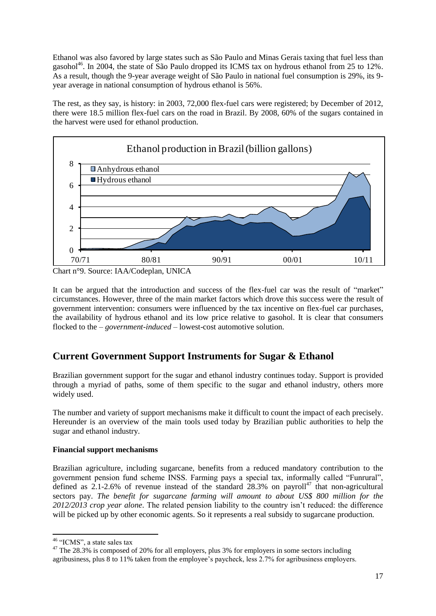Ethanol was also favored by large states such as São Paulo and Minas Gerais taxing that fuel less than gasohol<sup>46</sup>. In 2004, the state of São Paulo dropped its ICMS tax on hydrous ethanol from 25 to 12%. As a result, though the 9-year average weight of São Paulo in national fuel consumption is 29%, its 9 year average in national consumption of hydrous ethanol is 56%.

The rest, as they say, is history: in 2003, 72,000 flex-fuel cars were registered; by December of 2012, there were 18.5 million flex-fuel cars on the road in Brazil. By 2008, 60% of the sugars contained in the harvest were used for ethanol production.



Chart n°9. Source: IAA/Codeplan, UNICA

It can be argued that the introduction and success of the flex-fuel car was the result of "market" circumstances. However, three of the main market factors which drove this success were the result of government intervention: consumers were influenced by the tax incentive on flex-fuel car purchases, the availability of hydrous ethanol and its low price relative to gasohol. It is clear that consumers flocked to the – *government-induced* – lowest-cost automotive solution.

# **Current Government Support Instruments for Sugar & Ethanol**

Brazilian government support for the sugar and ethanol industry continues today. Support is provided through a myriad of paths, some of them specific to the sugar and ethanol industry, others more widely used.

The number and variety of support mechanisms make it difficult to count the impact of each precisely. Hereunder is an overview of the main tools used today by Brazilian public authorities to help the sugar and ethanol industry.

### **Financial support mechanisms**

Brazilian agriculture, including sugarcane, benefits from a reduced mandatory contribution to the government pension fund scheme INSS. Farming pays a special tax, informally called "Funrural", defined as  $2.1$ -2.6% of revenue instead of the standard  $28.3\%$  on payroll<sup>47</sup> that non-agricultural sectors pay. *The benefit for sugarcane farming will amount to about US\$ 800 million for the 2012/2013 crop year alone*. The related pension liability to the country isn't reduced: the difference will be picked up by other economic agents. So it represents a real subsidy to sugarcane production.

<sup>1</sup> <sup>46</sup> "ICMS", a state sales tax

<sup>&</sup>lt;sup>47</sup> The 28.3% is composed of 20% for all employers, plus 3% for employers in some sectors including agribusiness, plus 8 to 11% taken from the employee's paycheck, less 2.7% for agribusiness employers.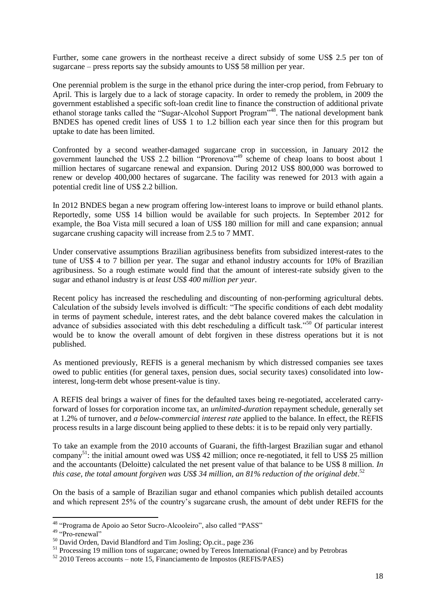Further, some cane growers in the northeast receive a direct subsidy of some US\$ 2.5 per ton of sugarcane – press reports say the subsidy amounts to US\$ 58 million per year.

One perennial problem is the surge in the ethanol price during the inter-crop period, from February to April. This is largely due to a lack of storage capacity. In order to remedy the problem, in 2009 the government established a specific soft-loan credit line to finance the construction of additional private ethanol storage tanks called the "Sugar-Alcohol Support Program"<sup>48</sup>. The national development bank BNDES has opened credit lines of US\$ 1 to 1.2 billion each year since then for this program but uptake to date has been limited.

Confronted by a second weather-damaged sugarcane crop in succession, in January 2012 the government launched the US\$ 2.2 billion "Prorenova"<sup>49</sup> scheme of cheap loans to boost about 1 million hectares of sugarcane renewal and expansion. During 2012 US\$ 800,000 was borrowed to renew or develop 400,000 hectares of sugarcane. The facility was renewed for 2013 with again a potential credit line of US\$ 2.2 billion.

In 2012 BNDES began a new program offering low-interest loans to improve or build ethanol plants. Reportedly, some US\$ 14 billion would be available for such projects. In September 2012 for example, the Boa Vista mill secured a loan of US\$ 180 million for mill and cane expansion; annual sugarcane crushing capacity will increase from 2.5 to 7 MMT.

Under conservative assumptions Brazilian agribusiness benefits from subsidized interest-rates to the tune of US\$ 4 to 7 billion per year. The sugar and ethanol industry accounts for 10% of Brazilian agribusiness. So a rough estimate would find that the amount of interest-rate subsidy given to the sugar and ethanol industry is *at least US\$ 400 million per year*.

Recent policy has increased the rescheduling and discounting of non-performing agricultural debts. Calculation of the subsidy levels involved is difficult: "The specific conditions of each debt modality in terms of payment schedule, interest rates, and the debt balance covered makes the calculation in advance of subsidies associated with this debt rescheduling a difficult task."<sup>50</sup> Of particular interest would be to know the overall amount of debt forgiven in these distress operations but it is not published.

As mentioned previously, REFIS is a general mechanism by which distressed companies see taxes owed to public entities (for general taxes, pension dues, social security taxes) consolidated into lowinterest, long-term debt whose present-value is tiny.

A REFIS deal brings a waiver of fines for the defaulted taxes being re-negotiated, accelerated carryforward of losses for corporation income tax, an *unlimited-duration* repayment schedule, generally set at 1.2% of turnover, and *a below-commercial interest rate* applied to the balance. In effect, the REFIS process results in a large discount being applied to these debts: it is to be repaid only very partially.

To take an example from the 2010 accounts of Guarani, the fifth-largest Brazilian sugar and ethanol company<sup>51</sup>: the initial amount owed was US\$ 42 million; once re-negotiated, it fell to US\$ 25 million and the accountants (Deloitte) calculated the net present value of that balance to be US\$ 8 million. *In*  this case, the total amount forgiven was US\$ 34 million, an 81% reduction of the original debt.<sup>52</sup>

On the basis of a sample of Brazilian sugar and ethanol companies which publish detailed accounts and which represent 25% of the country's sugarcane crush, the amount of debt under REFIS for the

<sup>&</sup>lt;sup>48</sup> "Programa de Apoio ao Setor Sucro-Alcooleiro", also called "PASS"

<sup>&</sup>lt;sup>49</sup> "Pro-renewal"

<sup>50</sup> David Orden, David Blandford and Tim Josling; Op.cit., page 236

<sup>&</sup>lt;sup>51</sup> Processing 19 million tons of sugarcane; owned by Tereos International (France) and by Petrobras

<sup>52</sup> 2010 Tereos accounts – note 15, Financiamento de Impostos (REFIS/PAES)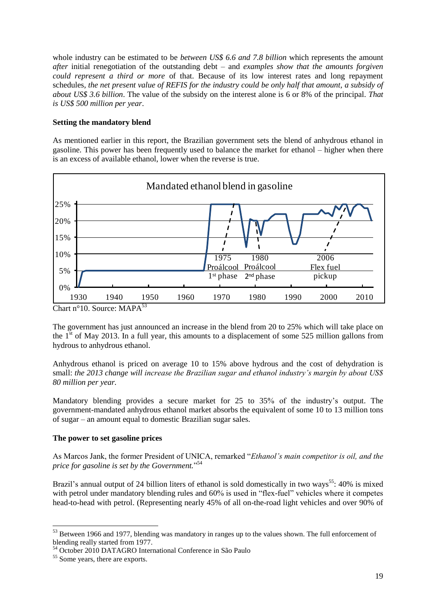whole industry can be estimated to be *between US\$ 6.6 and 7.8 billion* which represents the amount *after* initial renegotiation of the outstanding debt – and *examples show that the amounts forgiven could represent a third or more* of that. Because of its low interest rates and long repayment schedules*, the net present value of REFIS for the industry could be only half that amount, a subsidy of about US\$ 3.6 billion*. The value of the subsidy on the interest alone is 6 or 8% of the principal. *That is US\$ 500 million per year*.

### **Setting the mandatory blend**

As mentioned earlier in this report, the Brazilian government sets the blend of anhydrous ethanol in gasoline. This power has been frequently used to balance the market for ethanol – higher when there is an excess of available ethanol, lower when the reverse is true.



Chart n°10. Source: MAPA<sup>53</sup>

The government has just announced an increase in the blend from 20 to 25% which will take place on the  $1<sup>st</sup>$  of May 2013. In a full year, this amounts to a displacement of some 525 million gallons from hydrous to anhydrous ethanol.

Anhydrous ethanol is priced on average 10 to 15% above hydrous and the cost of dehydration is small: *the 2013 change will increase the Brazilian sugar and ethanol industry's margin by about US\$ 80 million per year.*

Mandatory blending provides a secure market for 25 to 35% of the industry's output. The government-mandated anhydrous ethanol market absorbs the equivalent of some 10 to 13 million tons of sugar – an amount equal to domestic Brazilian sugar sales.

#### **The power to set gasoline prices**

As Marcos Jank, the former President of UNICA, remarked "*Ethanol's main competitor is oil, and the price for gasoline is set by the Government.*" 54

Brazil's annual output of 24 billion liters of ethanol is sold domestically in two ways<sup>55</sup>: 40% is mixed with petrol under mandatory blending rules and 60% is used in "flex-fuel" vehicles where it competes head-to-head with petrol. (Representing nearly 45% of all on-the-road light vehicles and over 90% of

 $53$  Between 1966 and 1977, blending was mandatory in ranges up to the values shown. The full enforcement of blending really started from 1977.

<sup>54</sup> October 2010 DATAGRO International Conference in São Paulo

<sup>&</sup>lt;sup>55</sup> Some years, there are exports.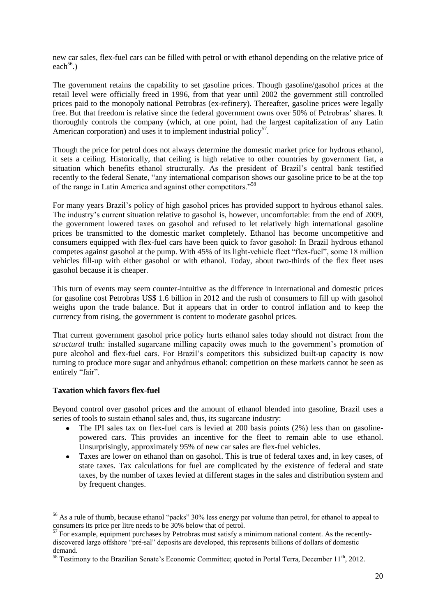new car sales, flex-fuel cars can be filled with petrol or with ethanol depending on the relative price of each<sup>56</sup>.)

The government retains the capability to set gasoline prices. Though gasoline/gasohol prices at the retail level were officially freed in 1996, from that year until 2002 the government still controlled prices paid to the monopoly national Petrobras (ex-refinery). Thereafter, gasoline prices were legally free. But that freedom is relative since the federal government owns over 50% of Petrobras' shares. It thoroughly controls the company (which, at one point, had the largest capitalization of any Latin American corporation) and uses it to implement industrial policy<sup>57</sup>.

Though the price for petrol does not always determine the domestic market price for hydrous ethanol, it sets a ceiling. Historically, that ceiling is high relative to other countries by government fiat, a situation which benefits ethanol structurally. As the president of Brazil's central bank testified recently to the federal Senate, "any international comparison shows our gasoline price to be at the top of the range in Latin America and against other competitors."<sup>58</sup>

For many years Brazil's policy of high gasohol prices has provided support to hydrous ethanol sales. The industry's current situation relative to gasohol is, however, uncomfortable: from the end of 2009, the government lowered taxes on gasohol and refused to let relatively high international gasoline prices be transmitted to the domestic market completely. Ethanol has become uncompetitive and consumers equipped with flex-fuel cars have been quick to favor gasohol: In Brazil hydrous ethanol competes against gasohol at the pump. With 45% of its light-vehicle fleet "flex-fuel", some 18 million vehicles fill-up with either gasohol or with ethanol. Today, about two-thirds of the flex fleet uses gasohol because it is cheaper.

This turn of events may seem counter-intuitive as the difference in international and domestic prices for gasoline cost Petrobras US\$ 1.6 billion in 2012 and the rush of consumers to fill up with gasohol weighs upon the trade balance. But it appears that in order to control inflation and to keep the currency from rising, the government is content to moderate gasohol prices.

That current government gasohol price policy hurts ethanol sales today should not distract from the *structural* truth: installed sugarcane milling capacity owes much to the government's promotion of pure alcohol and flex-fuel cars. For Brazil's competitors this subsidized built-up capacity is now turning to produce more sugar and anhydrous ethanol: competition on these markets cannot be seen as entirely "fair".

#### **Taxation which favors flex-fuel**

1

Beyond control over gasohol prices and the amount of ethanol blended into gasoline, Brazil uses a series of tools to sustain ethanol sales and, thus, its sugarcane industry:

- The IPI sales tax on flex-fuel cars is levied at 200 basis points (2%) less than on gasoline- $\bullet$ powered cars. This provides an incentive for the fleet to remain able to use ethanol. Unsurprisingly, approximately 95% of new car sales are flex-fuel vehicles.
- Taxes are lower on ethanol than on gasohol. This is true of federal taxes and, in key cases, of  $\bullet$ state taxes. Tax calculations for fuel are complicated by the existence of federal and state taxes, by the number of taxes levied at different stages in the sales and distribution system and by frequent changes.

<sup>&</sup>lt;sup>56</sup> As a rule of thumb, because ethanol "packs" 30% less energy per volume than petrol, for ethanol to appeal to consumers its price per litre needs to be 30% below that of petrol.

 $57$  For example, equipment purchases by Petrobras must satisfy a minimum national content. As the recentlydiscovered large offshore "pré-sal" deposits are developed, this represents billions of dollars of domestic demand.

 $58$  Testimony to the Brazilian Senate's Economic Committee; quoted in Portal Terra, December 11<sup>th</sup>, 2012.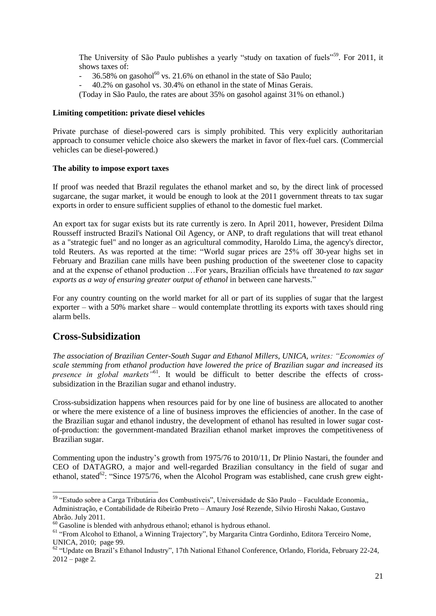The University of São Paulo publishes a yearly "study on taxation of fuels"<sup>59</sup>. For 2011, it shows taxes of:

- $-$  36.58% on gasohol<sup>60</sup> vs. 21.6% on ethanol in the state of São Paulo;
- 40.2% on gasohol vs. 30.4% on ethanol in the state of Minas Gerais.

(Today in São Paulo, the rates are about 35% on gasohol against 31% on ethanol.)

#### **Limiting competition: private diesel vehicles**

Private purchase of diesel-powered cars is simply prohibited. This very explicitly authoritarian approach to consumer vehicle choice also skewers the market in favor of flex-fuel cars. (Commercial vehicles can be diesel-powered.)

#### **The ability to impose export taxes**

If proof was needed that Brazil regulates the ethanol market and so, by the direct link of processed sugarcane, the sugar market, it would be enough to look at the 2011 government threats to tax sugar exports in order to ensure sufficient supplies of ethanol to the domestic fuel market.

An export tax for sugar exists but its rate currently is zero. In April 2011, however, President Dilma Rousseff instructed Brazil's National Oil Agency, or ANP, to draft regulations that will treat ethanol as a "strategic fuel" and no longer as an agricultural commodity, Haroldo Lima, the agency's director, told Reuters. As was reported at the time: "World sugar prices are 25% off 30-year highs set in February and Brazilian cane mills have been pushing production of the sweetener close to capacity and at the expense of ethanol production …For years, Brazilian officials have threatened *to tax sugar exports as a way of ensuring greater output of ethanol* in between cane harvests."

For any country counting on the world market for all or part of its supplies of sugar that the largest exporter – with a 50% market share – would contemplate throttling its exports with taxes should ring alarm bells.

### **Cross-Subsidization**

*The association of Brazilian Center-South Sugar and Ethanol Millers, UNICA, writes: "Economies of scale stemming from ethanol production have lowered the price of Brazilian sugar and increased its*  presence in global markets<sup>"61</sup>. It would be difficult to better describe the effects of crosssubsidization in the Brazilian sugar and ethanol industry.

Cross-subsidization happens when resources paid for by one line of business are allocated to another or where the mere existence of a line of business improves the efficiencies of another. In the case of the Brazilian sugar and ethanol industry, the development of ethanol has resulted in lower sugar costof-production: the government-mandated Brazilian ethanol market improves the competitiveness of Brazilian sugar.

Commenting upon the industry's growth from 1975/76 to 2010/11, Dr Plinio Nastari, the founder and CEO of DATAGRO, a major and well-regarded Brazilian consultancy in the field of sugar and ethanol, stated<sup>62</sup>: "Since 1975/76, when the Alcohol Program was established, cane crush grew eight-

<sup>-</sup><sup>59</sup> "Estudo sobre a Carga Tributária dos Combustíveis", Universidade de São Paulo – Faculdade Economia,, Administração, e Contabilidade de Ribeirão Preto – Amaury José Rezende, Silvio Hiroshi Nakao, Gustavo Abrão. July 2011.

 $60$  Gasoline is blended with anhydrous ethanol; ethanol is hydrous ethanol.

<sup>61</sup> "From Alcohol to Ethanol, a Winning Trajectory", by Margarita Cintra Gordinho, Editora Terceiro Nome, UNICA, 2010; page 99.

<sup>&</sup>lt;sup>62</sup> "Update on Brazil's Ethanol Industry", 17th National Ethanol Conference, Orlando, Florida, February 22-24,  $2012 - page 2$ .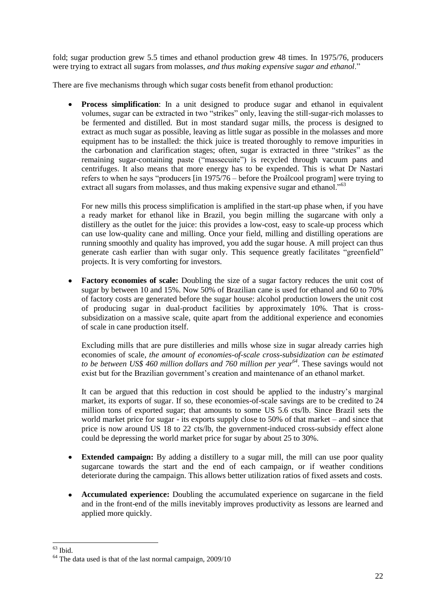fold; sugar production grew 5.5 times and ethanol production grew 48 times. In 1975/76, producers were trying to extract all sugars from molasses, *and thus making expensive sugar and ethanol*."

There are five mechanisms through which sugar costs benefit from ethanol production:

**Process simplification**: In a unit designed to produce sugar and ethanol in equivalent  $\bullet$ volumes, sugar can be extracted in two "strikes" only, leaving the still-sugar-rich molasses to be fermented and distilled. But in most standard sugar mills, the process is designed to extract as much sugar as possible, leaving as little sugar as possible in the molasses and more equipment has to be installed: the thick juice is treated thoroughly to remove impurities in the carbonation and clarification stages; often, sugar is extracted in three "strikes" as the remaining sugar-containing paste ("massecuite") is recycled through vacuum pans and centrifuges. It also means that more energy has to be expended. This is what Dr Nastari refers to when he says "producers [in 1975/76 – before the Proálcool program] were trying to extract all sugars from molasses, and thus making expensive sugar and ethanol."<sup>63</sup>

For new mills this process simplification is amplified in the start-up phase when, if you have a ready market for ethanol like in Brazil, you begin milling the sugarcane with only a distillery as the outlet for the juice: this provides a low-cost, easy to scale-up process which can use low-quality cane and milling. Once your field, milling and distilling operations are running smoothly and quality has improved, you add the sugar house. A mill project can thus generate cash earlier than with sugar only. This sequence greatly facilitates "greenfield" projects. It is very comforting for investors.

**Factory economies of scale:** Doubling the size of a sugar factory reduces the unit cost of sugar by between 10 and 15%. Now 50% of Brazilian cane is used for ethanol and 60 to 70% of factory costs are generated before the sugar house: alcohol production lowers the unit cost of producing sugar in dual-product facilities by approximately 10%. That is crosssubsidization on a massive scale, quite apart from the additional experience and economies of scale in cane production itself.

Excluding mills that are pure distilleries and mills whose size in sugar already carries high economies of scale*, the amount of economies-of-scale cross-subsidization can be estimated to be between US\$ 460 million dollars and 760 million per year 64* . These savings would not exist but for the Brazilian government's creation and maintenance of an ethanol market.

It can be argued that this reduction in cost should be applied to the industry's marginal market, its exports of sugar. If so, these economies-of-scale savings are to be credited to 24 million tons of exported sugar; that amounts to some US 5.6 cts/lb. Since Brazil sets the world market price for sugar - its exports supply close to 50% of that market – and since that price is now around US 18 to 22 cts/lb, the government-induced cross-subsidy effect alone could be depressing the world market price for sugar by about 25 to 30%.

- **Extended campaign:** By adding a distillery to a sugar mill, the mill can use poor quality  $\bullet$ sugarcane towards the start and the end of each campaign, or if weather conditions deteriorate during the campaign. This allows better utilization ratios of fixed assets and costs.
- **Accumulated experience:** Doubling the accumulated experience on sugarcane in the field  $\bullet$ and in the front-end of the mills inevitably improves productivity as lessons are learned and applied more quickly.

<sup>1</sup>  $63$  Ibid.

<sup>64</sup> The data used is that of the last normal campaign, 2009/10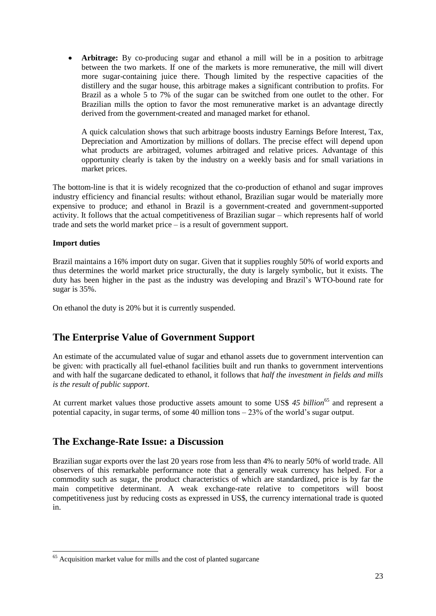**Arbitrage:** By co-producing sugar and ethanol a mill will be in a position to arbitrage between the two markets. If one of the markets is more remunerative, the mill will divert more sugar-containing juice there. Though limited by the respective capacities of the distillery and the sugar house, this arbitrage makes a significant contribution to profits. For Brazil as a whole 5 to 7% of the sugar can be switched from one outlet to the other. For Brazilian mills the option to favor the most remunerative market is an advantage directly derived from the government-created and managed market for ethanol.

A quick calculation shows that such arbitrage boosts industry Earnings Before Interest, Tax, Depreciation and Amortization by millions of dollars. The precise effect will depend upon what products are arbitraged, volumes arbitraged and relative prices. Advantage of this opportunity clearly is taken by the industry on a weekly basis and for small variations in market prices.

The bottom-line is that it is widely recognized that the co-production of ethanol and sugar improves industry efficiency and financial results: without ethanol, Brazilian sugar would be materially more expensive to produce; and ethanol in Brazil is a government-created and government-supported activity. It follows that the actual competitiveness of Brazilian sugar – which represents half of world trade and sets the world market price – is a result of government support.

#### **Import duties**

-

Brazil maintains a 16% import duty on sugar. Given that it supplies roughly 50% of world exports and thus determines the world market price structurally, the duty is largely symbolic, but it exists. The duty has been higher in the past as the industry was developing and Brazil's WTO-bound rate for sugar is 35%.

On ethanol the duty is 20% but it is currently suspended.

### **The Enterprise Value of Government Support**

An estimate of the accumulated value of sugar and ethanol assets due to government intervention can be given: with practically all fuel-ethanol facilities built and run thanks to government interventions and with half the sugarcane dedicated to ethanol, it follows that *half the investment in fields and mills is the result of public support*.

At current market values those productive assets amount to some US\$ 45 *billion*<sup>65</sup> and represent a potential capacity, in sugar terms, of some 40 million tons – 23% of the world's sugar output.

### **The Exchange-Rate Issue: a Discussion**

Brazilian sugar exports over the last 20 years rose from less than 4% to nearly 50% of world trade. All observers of this remarkable performance note that a generally weak currency has helped. For a commodity such as sugar, the product characteristics of which are standardized, price is by far the main competitive determinant. A weak exchange-rate relative to competitors will boost competitiveness just by reducing costs as expressed in US\$, the currency international trade is quoted in.

 $65$  Acquisition market value for mills and the cost of planted sugarcane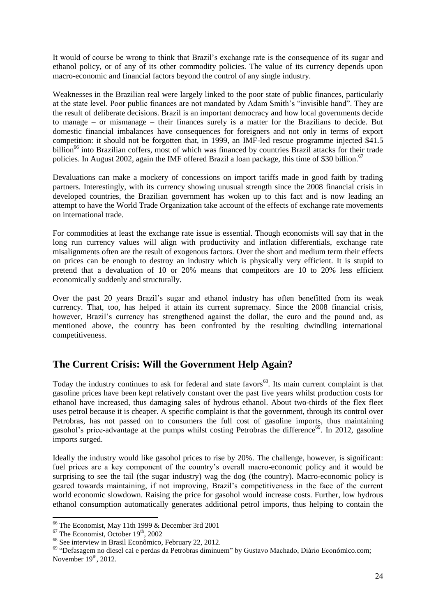It would of course be wrong to think that Brazil's exchange rate is the consequence of its sugar and ethanol policy, or of any of its other commodity policies. The value of its currency depends upon macro-economic and financial factors beyond the control of any single industry.

Weaknesses in the Brazilian real were largely linked to the poor state of public finances, particularly at the state level. Poor public finances are not mandated by Adam Smith's "invisible hand". They are the result of deliberate decisions. Brazil is an important democracy and how local governments decide to manage – or mismanage – their finances surely is a matter for the Brazilians to decide. But domestic financial imbalances have consequences for foreigners and not only in terms of export competition: it should not be forgotten that, in 1999, an IMF-led rescue programme injected \$41.5 billion<sup>66</sup> into Brazilian coffers, most of which was financed by countries Brazil attacks for their trade policies. In August 2002, again the IMF offered Brazil a loan package, this time of \$30 billion.<sup>67</sup>

Devaluations can make a mockery of concessions on import tariffs made in good faith by trading partners. Interestingly, with its currency showing unusual strength since the 2008 financial crisis in developed countries, the Brazilian government has woken up to this fact and is now leading an attempt to have the World Trade Organization take account of the effects of exchange rate movements on international trade.

For commodities at least the exchange rate issue is essential. Though economists will say that in the long run currency values will align with productivity and inflation differentials, exchange rate misalignments often are the result of exogenous factors. Over the short and medium term their effects on prices can be enough to destroy an industry which is physically very efficient. It is stupid to pretend that a devaluation of 10 or 20% means that competitors are 10 to 20% less efficient economically suddenly and structurally.

Over the past 20 years Brazil's sugar and ethanol industry has often benefitted from its weak currency. That, too, has helped it attain its current supremacy. Since the 2008 financial crisis, however, Brazil's currency has strengthened against the dollar, the euro and the pound and, as mentioned above, the country has been confronted by the resulting dwindling international competitiveness.

# **The Current Crisis: Will the Government Help Again?**

Today the industry continues to ask for federal and state favors<sup>68</sup>. Its main current complaint is that gasoline prices have been kept relatively constant over the past five years whilst production costs for ethanol have increased, thus damaging sales of hydrous ethanol. About two-thirds of the flex fleet uses petrol because it is cheaper. A specific complaint is that the government, through its control over Petrobras, has not passed on to consumers the full cost of gasoline imports, thus maintaining gasohol's price-advantage at the pumps whilst costing Petrobras the difference<sup>69</sup>. In 2012, gasoline imports surged.

Ideally the industry would like gasohol prices to rise by 20%. The challenge, however, is significant: fuel prices are a key component of the country's overall macro-economic policy and it would be surprising to see the tail (the sugar industry) wag the dog (the country). Macro-economic policy is geared towards maintaining, if not improving, Brazil's competitiveness in the face of the current world economic slowdown. Raising the price for gasohol would increase costs. Further, low hydrous ethanol consumption automatically generates additional petrol imports, thus helping to contain the

 $66$  The Economist, May 11th 1999 & December 3rd 2001

 $67$  The Economist, October  $19<sup>th</sup>$ , 2002

<sup>68</sup> See interview in Brasil Econômico, February 22, 2012.

<sup>69</sup> "Defasagem no diesel cai e perdas da Petrobras diminuem" by Gustavo Machado, Diário Económico.com; November  $19<sup>th</sup>$ , 2012.